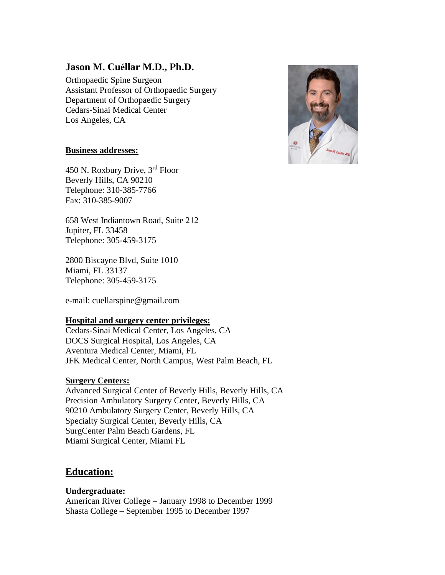# **Jason M. Cuéllar M.D., Ph.D.**

Orthopaedic Spine Surgeon Assistant Professor of Orthopaedic Surgery Department of Orthopaedic Surgery Cedars-Sinai Medical Center Los Angeles, CA



## **Business addresses:**

450 N. Roxbury Drive, 3rd Floor Beverly Hills, CA 90210 Telephone: 310-385-7766 Fax: 310-385-9007

658 West Indiantown Road, Suite 212 Jupiter, FL 33458 Telephone: 305-459-3175

2800 Biscayne Blvd, Suite 1010 Miami, FL 33137 Telephone: 305-459-3175

e-mail: cuellarspine@gmail.com

#### **Hospital and surgery center privileges:**

Cedars-Sinai Medical Center, Los Angeles, CA DOCS Surgical Hospital, Los Angeles, CA Aventura Medical Center, Miami, FL JFK Medical Center, North Campus, West Palm Beach, FL

### **Surgery Centers:**

Advanced Surgical Center of Beverly Hills, Beverly Hills, CA Precision Ambulatory Surgery Center, Beverly Hills, CA 90210 Ambulatory Surgery Center, Beverly Hills, CA Specialty Surgical Center, Beverly Hills, CA SurgCenter Palm Beach Gardens, FL Miami Surgical Center, Miami FL

# **Education:**

**Undergraduate:** American River College – January 1998 to December 1999 Shasta College – September 1995 to December 1997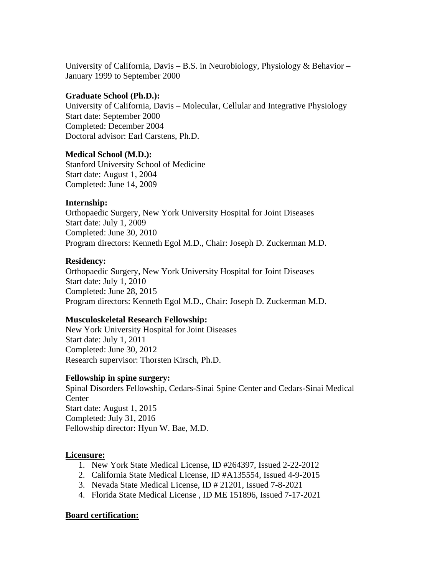University of California, Davis – B.S. in Neurobiology, Physiology & Behavior – January 1999 to September 2000

### **Graduate School (Ph.D.):**

University of California, Davis – Molecular, Cellular and Integrative Physiology Start date: September 2000 Completed: December 2004 Doctoral advisor: Earl Carstens, Ph.D.

### **Medical School (M.D.):**

Stanford University School of Medicine Start date: August 1, 2004 Completed: June 14, 2009

## **Internship:**

Orthopaedic Surgery, New York University Hospital for Joint Diseases Start date: July 1, 2009 Completed: June 30, 2010 Program directors: Kenneth Egol M.D., Chair: Joseph D. Zuckerman M.D.

### **Residency:**

Orthopaedic Surgery, New York University Hospital for Joint Diseases Start date: July 1, 2010 Completed: June 28, 2015 Program directors: Kenneth Egol M.D., Chair: Joseph D. Zuckerman M.D.

## **Musculoskeletal Research Fellowship:**

New York University Hospital for Joint Diseases Start date: July 1, 2011 Completed: June 30, 2012 Research supervisor: Thorsten Kirsch, Ph.D.

#### **Fellowship in spine surgery:**

Spinal Disorders Fellowship, Cedars-Sinai Spine Center and Cedars-Sinai Medical Center Start date: August 1, 2015 Completed: July 31, 2016 Fellowship director: Hyun W. Bae, M.D.

## **Licensure:**

- 1. New York State Medical License, ID #264397, Issued 2-22-2012
- 2. California State Medical License, ID #A135554, Issued 4-9-2015
- 3. Nevada State Medical License, ID # 21201, Issued 7-8-2021
- 4. Florida State Medical License , ID ME 151896, Issued 7-17-2021

#### **Board certification:**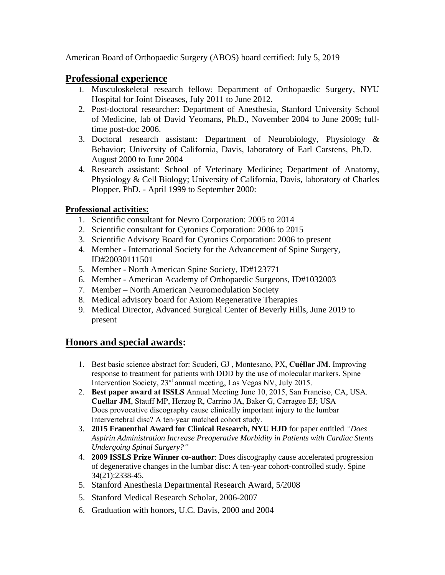American Board of Orthopaedic Surgery (ABOS) board certified: July 5, 2019

## **Professional experience**

- 1. Musculoskeletal research fellow: Department of Orthopaedic Surgery, NYU Hospital for Joint Diseases, July 2011 to June 2012.
- 2. Post-doctoral researcher: Department of Anesthesia, Stanford University School of Medicine, lab of David Yeomans, Ph.D., November 2004 to June 2009; fulltime post-doc 2006.
- 3. Doctoral research assistant: Department of Neurobiology, Physiology & Behavior; University of California, Davis, laboratory of Earl Carstens, Ph.D. – August 2000 to June 2004
- 4. Research assistant: School of Veterinary Medicine; Department of Anatomy, Physiology & Cell Biology; University of California, Davis, laboratory of Charles Plopper, PhD. - April 1999 to September 2000:

## **Professional activities:**

- 1. Scientific consultant for Nevro Corporation: 2005 to 2014
- 2. Scientific consultant for Cytonics Corporation: 2006 to 2015
- 3. Scientific Advisory Board for Cytonics Corporation: 2006 to present
- 4. Member International Society for the Advancement of Spine Surgery, ID#20030111501
- 5. Member North American Spine Society, ID#123771
- 6. Member American Academy of Orthopaedic Surgeons, ID#1032003
- 7. Member North American Neuromodulation Society
- 8. Medical advisory board for Axiom Regenerative Therapies
- 9. Medical Director, Advanced Surgical Center of Beverly Hills, June 2019 to present

# **Honors and special awards:**

- 1. Best basic science abstract for: Scuderi, GJ , Montesano, PX, **Cuéllar JM**. Improving response to treatment for patients with DDD by the use of molecular markers. Spine Intervention Society, 23rd annual meeting, Las Vegas NV, July 2015.
- 2. **Best paper award at ISSLS** Annual Meeting June 10, 2015, San Franciso, CA, USA. **Cuellar JM**, Stauff MP, Herzog R, Carrino JA, Baker G, Carragee EJ; USA Does provocative discography cause clinically important injury to the lumbar Intervertebral disc? A ten‐year matched cohort study.
- 3. **2015 Frauenthal Award for Clinical Research, NYU HJD** for paper entitled *"Does Aspirin Administration Increase Preoperative Morbidity in Patients with Cardiac Stents Undergoing Spinal Surgery?"*
- 4. **2009 ISSLS Prize Winner co-author**: Does discography cause accelerated progression of degenerative changes in the lumbar disc: A ten-year cohort-controlled study. Spine 34(21):2338-45.
- 5. Stanford Anesthesia Departmental Research Award, 5/2008
- 5. Stanford Medical Research Scholar, 2006-2007
- 6. Graduation with honors, U.C. Davis, 2000 and 2004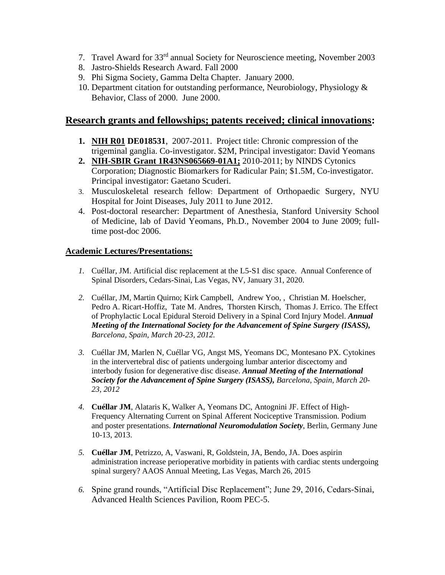- 7. Travel Award for 33rd annual Society for Neuroscience meeting, November 2003
- 8. Jastro-Shields Research Award. Fall 2000
- 9. Phi Sigma Society, Gamma Delta Chapter. January 2000.
- 10. Department citation for outstanding performance, Neurobiology, Physiology & Behavior, Class of 2000. June 2000.

## **Research grants and fellowships; patents received; clinical innovations:**

- **1. NIH R01 DE018531**, 2007-2011. Project title: Chronic compression of the trigeminal ganglia. Co-investigator. \$2M, Principal investigator: David Yeomans
- **2. NIH-SBIR Grant 1R43NS065669-01A1;** 2010-2011; by NINDS Cytonics Corporation; Diagnostic Biomarkers for Radicular Pain; \$1.5M, Co-investigator. Principal investigator: Gaetano Scuderi.
- 3. Musculoskeletal research fellow: Department of Orthopaedic Surgery, NYU Hospital for Joint Diseases, July 2011 to June 2012.
- 4. Post-doctoral researcher: Department of Anesthesia, Stanford University School of Medicine, lab of David Yeomans, Ph.D., November 2004 to June 2009; fulltime post-doc 2006.

#### **Academic Lectures/Presentations:**

- *1.* Cuéllar, JM. Artificial disc replacement at the L5-S1 disc space. Annual Conference of Spinal Disorders, Cedars-Sinai, Las Vegas, NV, January 31, 2020.
- *2.* Cuéllar, JM, Martin Quirno; Kirk Campbell, Andrew Yoo, , Christian M. Hoelscher, Pedro A. Ricart-Hoffiz, Tate M. Andres, Thorsten Kirsch, Thomas J. Errico. The Effect of Prophylactic Local Epidural Steroid Delivery in a Spinal Cord Injury Model. *Annual Meeting of the International Society for the Advancement of Spine Surgery (ISASS), Barcelona, Spain, March 20-23, 2012.*
- *3.* Cuéllar JM, Marlen N, Cuéllar VG, Angst MS, Yeomans DC, Montesano PX. Cytokines in the intervertebral disc of patients undergoing lumbar anterior discectomy and interbody fusion for degenerative disc disease. *Annual Meeting of the International Society for the Advancement of Spine Surgery (ISASS), Barcelona, Spain, March 20- 23, 2012*
- *4.* **Cuéllar JM**, Alataris K, Walker A, Yeomans DC, Antognini JF. Effect of High-Frequency Alternating Current on Spinal Afferent Nociceptive Transmission. Podium and poster presentations. *International Neuromodulation Society*, Berlin, Germany June 10-13, 2013.
- *5.* **Cuéllar JM**, Petrizzo, A, Vaswani, R, Goldstein, JA, Bendo, JA. Does aspirin administration increase perioperative morbidity in patients with cardiac stents undergoing spinal surgery? AAOS Annual Meeting, Las Vegas, March 26, 2015
- *6.* Spine grand rounds, "Artificial Disc Replacement"; June 29, 2016, Cedars-Sinai, Advanced Health Sciences Pavilion, Room PEC-5.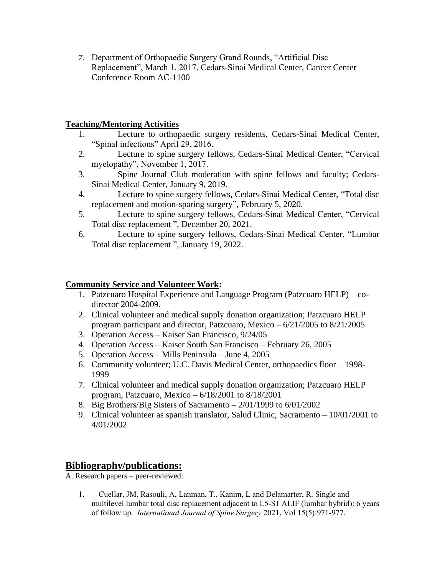*7.* Department of Orthopaedic Surgery Grand Rounds, "Artificial Disc Replacement", March 1, 2017, Cedars-Sinai Medical Center, Cancer Center Conference Room AC-1100

### **Teaching/Mentoring Activities**

- 1. Lecture to orthopaedic surgery residents, Cedars-Sinai Medical Center, "Spinal infections" April 29, 2016.
- 2. Lecture to spine surgery fellows, Cedars-Sinai Medical Center, "Cervical myelopathy", November 1, 2017.
- 3. Spine Journal Club moderation with spine fellows and faculty; Cedars-Sinai Medical Center, January 9, 2019.
- 4. Lecture to spine surgery fellows, Cedars-Sinai Medical Center, "Total disc replacement and motion-sparing surgery", February 5, 2020.
- 5. Lecture to spine surgery fellows, Cedars-Sinai Medical Center, "Cervical Total disc replacement ", December 20, 2021.
- 6. Lecture to spine surgery fellows, Cedars-Sinai Medical Center, "Lumbar Total disc replacement ", January 19, 2022.

## **Community Service and Volunteer Work:**

- 1. Patzcuaro Hospital Experience and Language Program (Patzcuaro HELP) codirector 2004-2009.
- 2. Clinical volunteer and medical supply donation organization; Patzcuaro HELP program participant and director, Patzcuaro, Mexico – 6/21/2005 to 8/21/2005
- 3. Operation Access Kaiser San Francisco, 9/24/05
- 4. Operation Access Kaiser South San Francisco February 26, 2005
- 5. Operation Access Mills Peninsula June 4, 2005
- 6. Community volunteer; U.C. Davis Medical Center, orthopaedics floor 1998- 1999
- 7. Clinical volunteer and medical supply donation organization; Patzcuaro HELP program, Patzcuaro, Mexico – 6/18/2001 to 8/18/2001
- 8. Big Brothers/Big Sisters of Sacramento 2/01/1999 to 6/01/2002
- 9. Clinical volunteer as spanish translator, Salud Clinic, Sacramento 10/01/2001 to 4/01/2002

# **Bibliography/publications:**

A. Research papers – peer-reviewed:

1. Cuellar, JM, Rasouli, A, Lanman, T., Kanim, L and Delamarter, R. Single and multilevel lumbar total disc replacement adjacent to L5-S1 ALIF (lumbar hybrid): 6 years of follow up. *International Journal of Spine Surgery* 2021, Vol 15(5):971-977.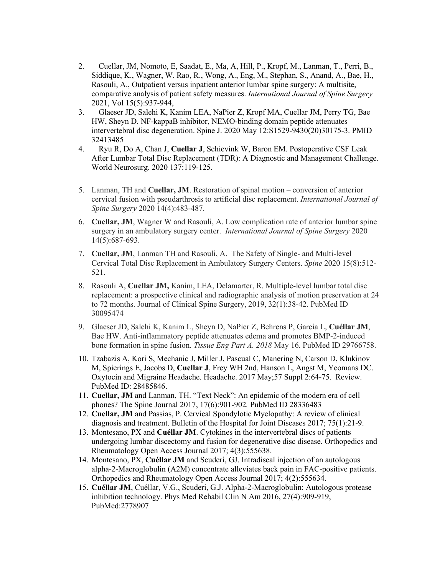- 2. Cuellar, JM, Nomoto, E, Saadat, E., Ma, A, Hill, P., Kropf, M., Lanman, T., Perri, B., Siddique, K., Wagner, W. Rao, R., Wong, A., Eng, M., Stephan, S., Anand, A., Bae, H., Rasouli, A., Outpatient versus inpatient anterior lumbar spine surgery: A multisite, comparative analysis of patient safety measures. *International Journal of Spine Surgery* 2021, Vol 15(5):937-944,
- 3. Glaeser JD, Salehi K, Kanim LEA, NaPier Z, Kropf MA, Cuellar JM, Perry TG, Bae HW, Sheyn D. NF-kappaB inhibitor, NEMO-binding domain peptide attenuates intervertebral disc degeneration. Spine J. 2020 May 12:S1529-9430(20)30175-3. PMID 32413485
- 4. Ryu R, Do A, Chan J, **Cuellar J**, Schievink W, Baron EM. Postoperative CSF Leak After Lumbar Total Disc Replacement (TDR): A Diagnostic and Management Challenge. World Neurosurg. 2020 137:119-125.
- 5. Lanman, TH and **Cuellar, JM**. Restoration of spinal motion conversion of anterior cervical fusion with pseudarthrosis to artificial disc replacement. *International Journal of Spine Surgery* 2020 14(4):483-487.
- 6. **Cuellar, JM**, Wagner W and Rasouli, A. Low complication rate of anterior lumbar spine surgery in an ambulatory surgery center. *International Journal of Spine Surgery* 2020 14(5):687-693.
- 7. **Cuellar, JM**, Lanman TH and Rasouli, A. The Safety of Single- and Multi-level Cervical Total Disc Replacement in Ambulatory Surgery Centers. *Spine* 2020 15(8):512- 521.
- 8. Rasouli A, **Cuellar JM,** Kanim, LEA, Delamarter, R. Multiple-level lumbar total disc replacement: a prospective clinical and radiographic analysis of motion preservation at 24 to 72 months. Journal of Clinical Spine Surgery, 2019, 32(1):38-42. PubMed ID 30095474
- 9. Glaeser JD, Salehi K, Kanim L, Sheyn D, NaPier Z, Behrens P, Garcia L, **Cuéllar JM**, Bae HW. Anti-inflammatory peptide attenuates edema and promotes BMP-2-induced bone formation in spine fusion. *Tissue Eng Part A. 2018* May 16. PubMed ID 29766758.
- 10. Tzabazis A, Kori S, Mechanic J, Miller J, Pascual C, Manering N, Carson D, Klukinov M, Spierings E, Jacobs D, **Cuellar J**, Frey WH 2nd, Hanson L, Angst M, Yeomans DC. Oxytocin and Migraine Headache. Headache. 2017 May;57 Suppl 2:64-75. Review. PubMed ID: 28485846.
- 11. **Cuellar, JM** and Lanman, TH. "Text Neck": An epidemic of the modern era of cell phones? The Spine Journal 2017, 17(6):901-902*.* PubMed ID 28336483
- 12. **Cuellar, JM** and Passias, P. Cervical Spondylotic Myelopathy: A review of clinical diagnosis and treatment. Bulletin of the Hospital for Joint Diseases 2017; 75(1):21-9.
- 13. Montesano, PX and **Cuéllar JM**. Cytokines in the intervertebral discs of patients undergoing lumbar discectomy and fusion for degenerative disc disease. Orthopedics and Rheumatology Open Access Journal 2017; 4(3):555638.
- 14. Montesano, PX, **Cuéllar JM** and Scuderi, GJ. Intradiscal injection of an autologous alpha-2-Macroglobulin (A2M) concentrate alleviates back pain in FAC-positive patients. Orthopedics and Rheumatology Open Access Journal 2017; 4(2):555634.
- 15. **Cuéllar JM**, Cuéllar, V.G., Scuderi, G.J. Alpha-2-Macroglobulin: Autologous protease inhibition technology. Phys Med Rehabil Clin N Am 2016, 27(4):909-919, PubMed:2778907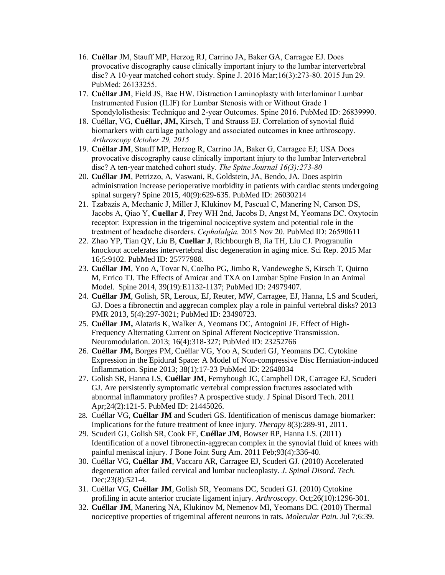- 16. **Cuéllar** JM, Stauff MP, Herzog RJ, Carrino JA, Baker GA, Carragee EJ. Does provocative discography cause clinically important injury to the lumbar intervertebral disc? A 10-year matched cohort study. Spine J. 2016 Mar;16(3):273-80. 2015 Jun 29. PubMed: 26133255.
- 17. **Cuéllar JM**, Field JS, Bae HW. Distraction Laminoplasty with Interlaminar Lumbar Instrumented Fusion (ILIF) for Lumbar Stenosis with or Without Grade 1 Spondylolisthesis: Technique and 2-year Outcomes. Spine 2016. PubMed ID: 26839990.
- 18. Cuéllar, VG, **Cuéllar, JM,** Kirsch, T and Strauss EJ. Correlation of synovial fluid biomarkers with cartilage pathology and associated outcomes in knee arthroscopy. *Arthroscopy October 29, 2015*
- 19. **Cuéllar JM**, Stauff MP, Herzog R, Carrino JA, Baker G, Carragee EJ; USA Does provocative discography cause clinically important injury to the lumbar Intervertebral disc? A ten‐year matched cohort study. *The Spine Journal 16(3):273-80*
- 20. **Cuéllar JM**, Petrizzo, A, Vaswani, R, Goldstein, JA, Bendo, JA. Does aspirin administration increase perioperative morbidity in patients with cardiac stents undergoing spinal surgery? Spine 2015, 40(9):629-635*.* PubMed ID: 26030214
- 21. Tzabazis A, Mechanic J, Miller J, Klukinov M, Pascual C, Manering N, Carson DS, Jacobs A, Qiao Y, **Cuellar J**, Frey WH 2nd, Jacobs D, Angst M, Yeomans DC. Oxytocin receptor: Expression in the trigeminal nociceptive system and potential role in the treatment of headache disorders. *Cephalalgia.* 2015 Nov 20. PubMed ID: 26590611
- 22. Zhao YP, Tian QY, Liu B, **Cuellar J**, Richbourgh B, Jia TH, Liu CJ. Progranulin knockout accelerates intervertebral disc degeneration in aging mice. Sci Rep. 2015 Mar 16;5:9102. PubMed ID: 25777988.
- 23. **Cuéllar JM**, Yoo A, Tovar N, Coelho PG, Jimbo R, Vandeweghe S, Kirsch T, Quirno M, Errico TJ. The Effects of Amicar and TXA on Lumbar Spine Fusion in an Animal Model. Spine 2014, 39(19):E1132-1137; PubMed ID: 24979407.
- 24. **Cuéllar JM**, Golish, SR, Leroux, EJ, Reuter, MW, Carragee, EJ, Hanna, LS and Scuderi, GJ. Does a fibronectin and aggrecan complex play a role in painful vertebral disks? 2013 PMR 2013, 5(4):297-3021; PubMed ID: 23490723.
- 25. **Cuéllar JM,** Alataris K, Walker A, Yeomans DC, Antognini JF. Effect of High-Frequency Alternating Current on Spinal Afferent Nociceptive Transmission. Neuromodulation. 2013; 16(4):318-327; PubMed ID: 23252766
- 26. **Cuéllar JM,** Borges PM, Cuéllar VG, Yoo A, Scuderi GJ, Yeomans DC. Cytokine Expression in the Epidural Space: A Model of Non-compressive Disc Herniation-induced Inflammation. Spine 2013; 38(1):17-23 PubMed ID: 22648034
- 27. Golish SR, Hanna LS, **Cuéllar JM**, Fernyhough JC, Campbell DR, Carragee EJ, Scuderi GJ. Are persistently symptomatic vertebral compression fractures associated with abnormal inflammatory profiles? A prospective study. J Spinal Disord Tech. 2011 Apr;24(2):121-5. PubMed ID: 21445026.
- 28. Cuéllar VG, **Cuéllar JM** and Scuderi GS. Identification of meniscus damage biomarker: Implications for the future treatment of knee injury. *Therapy* 8(3):289-91, 2011.
- 29. Scuderi GJ, Golish SR, Cook FF, **Cuéllar JM**, Bowser RP, Hanna LS. (2011) Identification of a novel fibronectin-aggrecan complex in the synovial fluid of knees with painful meniscal injury. J Bone Joint Surg Am. 2011 Feb;93(4):336-40.
- 30. Cuéllar VG, **Cuéllar JM**, Vaccaro AR, Carragee EJ, Scuderi GJ. (2010) Accelerated degeneration after failed cervical and lumbar nucleoplasty. *J. Spinal Disord. Tech.* Dec; 23(8): 521-4.
- 31. Cuéllar VG, **Cuéllar JM**, Golish SR, Yeomans DC, Scuderi GJ. (2010) Cytokine profiling in acute anterior cruciate ligament injury. *Arthroscopy.* Oct;26(10):1296-301.
- 32. **Cuéllar JM**, Manering NA, Klukinov M, Nemenov MI, Yeomans DC. (2010) Thermal nociceptive properties of trigeminal afferent neurons in rats. *Molecular Pain.* Jul 7;6:39.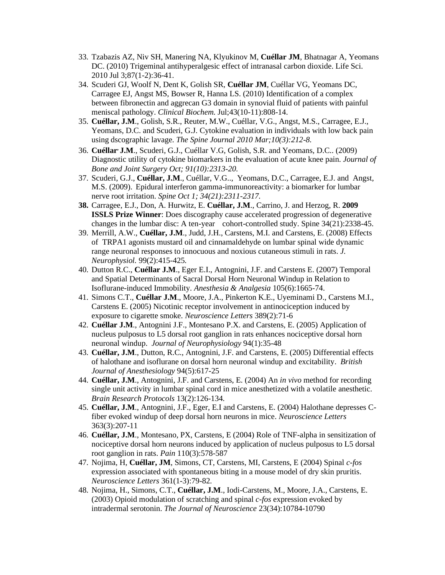- 33. Tzabazis AZ, Niv SH, Manering NA, Klyukinov M, **Cuéllar JM**, Bhatnagar A, Yeomans DC. (2010) Trigeminal antihyperalgesic effect of intranasal carbon dioxide. Life Sci. 2010 Jul 3;87(1-2):36-41.
- 34. Scuderi GJ, Woolf N, Dent K, Golish SR, **Cuéllar JM**, Cuéllar VG, Yeomans DC, Carragee EJ, Angst MS, Bowser R, Hanna LS. (2010) Identification of a complex between fibronectin and aggrecan G3 domain in synovial fluid of patients with painful meniscal pathology. *Clinical Biochem.* Jul;43(10-11):808-14.
- 35. **Cuéllar, J.M**., Golish, S.R., Reuter, M.W., Cuéllar, V.G., Angst, M.S., Carragee, E.J., Yeomans, D.C. and Scuderi, G.J. [Cytokine](http://www.google.com/url?q=http%3A%2F%2Fwww.ncbi.nlm.nih.gov%2Fpubmed%2F20207331&sa=D&sntz=1&usg=AFQjCNEruhuXO9xOzsyniXZ2D7uBbN6BJQ) [evaluation](http://www.google.com/url?q=http%3A%2F%2Fwww.ncbi.nlm.nih.gov%2Fpubmed%2F20207331&sa=D&sntz=1&usg=AFQjCNEruhuXO9xOzsyniXZ2D7uBbN6BJQ) [in](http://www.google.com/url?q=http%3A%2F%2Fwww.ncbi.nlm.nih.gov%2Fpubmed%2F20207331&sa=D&sntz=1&usg=AFQjCNEruhuXO9xOzsyniXZ2D7uBbN6BJQ) [individuals](http://www.google.com/url?q=http%3A%2F%2Fwww.ncbi.nlm.nih.gov%2Fpubmed%2F20207331&sa=D&sntz=1&usg=AFQjCNEruhuXO9xOzsyniXZ2D7uBbN6BJQ) [with](http://www.google.com/url?q=http%3A%2F%2Fwww.ncbi.nlm.nih.gov%2Fpubmed%2F20207331&sa=D&sntz=1&usg=AFQjCNEruhuXO9xOzsyniXZ2D7uBbN6BJQ) [low](http://www.google.com/url?q=http%3A%2F%2Fwww.ncbi.nlm.nih.gov%2Fpubmed%2F20207331&sa=D&sntz=1&usg=AFQjCNEruhuXO9xOzsyniXZ2D7uBbN6BJQ) [back](http://www.google.com/url?q=http%3A%2F%2Fwww.ncbi.nlm.nih.gov%2Fpubmed%2F20207331&sa=D&sntz=1&usg=AFQjCNEruhuXO9xOzsyniXZ2D7uBbN6BJQ) [pain](http://www.google.com/url?q=http%3A%2F%2Fwww.ncbi.nlm.nih.gov%2Fpubmed%2F20207331&sa=D&sntz=1&usg=AFQjCNEruhuXO9xOzsyniXZ2D7uBbN6BJQ) [using](http://www.google.com/url?q=http%3A%2F%2Fwww.ncbi.nlm.nih.gov%2Fpubmed%2F20207331&sa=D&sntz=1&usg=AFQjCNEruhuXO9xOzsyniXZ2D7uBbN6BJQ) [dscographic](http://www.google.com/url?q=http%3A%2F%2Fwww.ncbi.nlm.nih.gov%2Fpubmed%2F20207331&sa=D&sntz=1&usg=AFQjCNEruhuXO9xOzsyniXZ2D7uBbN6BJQ) [lavage.](http://www.google.com/url?q=http%3A%2F%2Fwww.ncbi.nlm.nih.gov%2Fpubmed%2F20207331&sa=D&sntz=1&usg=AFQjCNEruhuXO9xOzsyniXZ2D7uBbN6BJQ) *The Spine Journal 2010 Mar;10(3):212-8.*
- 36. **Cuéllar, J.M**., Scuderi, G.J., Cuéllar V.G, Golish, S.R. and Yeomans, D.C.. (2009) Diagnostic utility of cytokine biomarkers in the evaluation of acute knee pain. *Journal of Bone and Joint Surgery Oct; 91(10):2313-20.*
- 37. Scuderi, G.J., **Cuéllar, J.M**., Cuéllar, V.G.., Yeomans, D.C., Carragee, E.J. and Angst, M.S. (2009). Epidural interferon gamma-immunoreactivity: a biomarker for lumbar nerve root irritation. *Spine Oct 1; 34(21):2311-2317.*
- **38.** Carragee, E.J., Don, A. Hurwitz, E. **Cuéllar, J.M**., Carrino, J. and Herzog, R. **2009 ISSLS Prize Winner**: Does discography cause accelerated progression of degenerative changes in the lumbar disc: A ten-year cohort-controlled study. Spine 34(21):2338-45.
- 39. Merrill, A.W., **Cuéllar, J.M**., Judd, J.H., Carstens, M.I. and Carstens, E. (2008) Effects of TRPA1 agonists mustard oil and cinnamaldehyde on lumbar spinal wide dynamic range neuronal responses to innocuous and noxious cutaneous stimuli in rats. *J. Neurophysiol.* 99(2):415-425*.*
- 40. Dutton R.C., **Cuéllar J.M**., Eger E.I., Antognini, J.F. and Carstens E. (2007) Temporal and Spatial Determinants of Sacral Dorsal Horn Neuronal Windup in Relation to Isoflurane-induced Immobility. *Anesthesia & Analgesia* 105(6):1665-74.
- 41. Simons C.T., **Cuéllar J.M**., Moore, J.A., Pinkerton K.E., Uyeminami D., Carstens M.I., Carstens E. (2005) Nicotinic receptor involvement in antinociception induced by exposure to cigarette smoke. *Neuroscience Letters* 389(2):71-6
- 42. **Cuéllar J.M**., Antognini J.F., Montesano P.X. and Carstens, E. (2005) Application of nucleus pulposus to L5 dorsal root ganglion in rats enhances nociceptive dorsal horn neuronal windup. *Journal of Neurophysiology* 94(1):35-48
- 43. **Cuéllar, J.M**., Dutton, R.C., Antognini, J.F. and Carstens, E. (2005) Differential effects of halothane and isoflurane on dorsal horn neuronal windup and excitability. *British Journal of Anesthesiology* 94(5):617-25
- 44. **Cuéllar, J.M**., Antognini, J.F. and Carstens, E. (2004) An *in vivo* method for recording single unit activity in lumbar spinal cord in mice anesthetized with a volatile anesthetic. *Brain Research Protocols* 13(2):126-134*.*
- 45. **Cuéllar, J.M**., Antognini, J.F., Eger, E.I and Carstens, E. (2004) Halothane depresses Cfiber evoked windup of deep dorsal horn neurons in mice. *Neuroscience Letters* 363(3):207-11
- 46. **Cuéllar, J.M**., Montesano, PX, Carstens, E (2004) Role of TNF-alpha in sensitization of nociceptive dorsal horn neurons induced by application of nucleus pulposus to L5 dorsal root ganglion in rats. *Pain* 110(3):578-587
- 47. Nojima, H, **Cuéllar, JM**, Simons, CT, Carstens, MI, Carstens, E (2004) Spinal *c-fos* expression associated with spontaneous biting in a mouse model of dry skin pruritis. *Neuroscience Letters* 361(1-3):79-82*.*
- 48. Nojima, H., Simons, C.T., **Cuéllar, J.M**., Iodi-Carstens, M., Moore, J.A., Carstens, E. (2003) Opioid modulation of scratching and spinal *c-fos* expression evoked by intradermal serotonin. *The Journal of Neuroscience* 23(34):10784-10790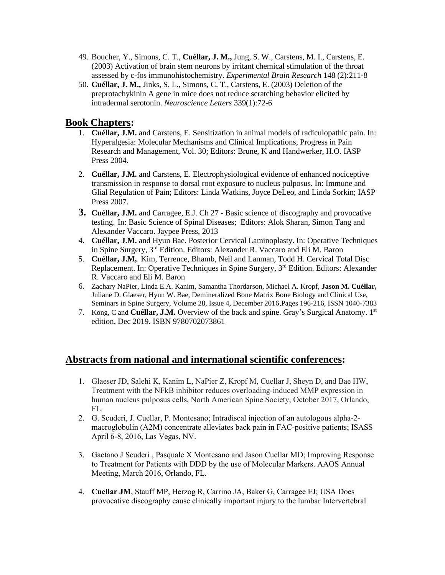- 49. Boucher, Y., Simons, C. T., **Cuéllar, J. M.,** Jung, S. W., Carstens, M. I., Carstens, E. (2003) Activation of brain stem neurons by irritant chemical stimulation of the throat assessed by c-fos immunohistochemistry. *Experimental Brain Research* 148 (2):211-8
- 50. **Cuéllar, J. M.,** Jinks, S. L., Simons, C. T., Carstens, E. (2003) Deletion of the preprotachykinin A gene in mice does not reduce scratching behavior elicited by intradermal serotonin. *Neuroscience Letters* 339(1):72-6

## **Book Chapters:**

- 1. **Cuéllar, J.M.** and Carstens, E. Sensitization in animal models of radiculopathic pain. In: Hyperalgesia: Molecular Mechanisms and Clinical Implications, Progress in Pain Research and Management, Vol. 30; Editors: Brune, K and Handwerker, H.O. IASP Press 2004.
- 2. **Cuéllar, J.M.** and Carstens, E. Electrophysiological evidence of enhanced nociceptive transmission in response to dorsal root exposure to nucleus pulposus. In: Immune and Glial Regulation of Pain; Editors: Linda Watkins, Joyce DeLeo, and Linda Sorkin; IASP Press 2007.
- **3. Cuéllar, J.M.** and Carragee, E.J. Ch 27 Basic science of discography and provocative testing. In: Basic Science of Spinal Diseases; Editors: Alok Sharan, Simon Tang and Alexander Vaccaro. Jaypee Press, 2013
- 4. **Cuéllar, J.M.** and Hyun Bae. Posterior Cervical Laminoplasty. In: Operative Techniques in Spine Surgery, 3rd Edition. Editors: Alexander R. Vaccaro and Eli M. Baron
- 5. **Cuéllar, J.M,** Kim, Terrence, Bhamb, Neil and Lanman, Todd H. Cervical Total Disc Replacement. In: Operative Techniques in Spine Surgery, 3<sup>rd</sup> Edition. Editors: Alexander R. Vaccaro and Eli M. Baron
- 6. Zachary NaPier, Linda E.A. Kanim, Samantha Thordarson, Michael A. Kropf, **Jason M. Cuéllar,** Juliane D. Glaeser, Hyun W. Bae, Demineralized Bone Matrix Bone Biology and Clinical Use, Seminars in Spine Surgery, Volume 28, Issue 4, December 2016,Pages 196-216, ISSN 1040-7383
- 7. Kong, C and **Cuéllar, J.M.** Overview of the back and spine. Gray's Surgical Anatomy. 1st edition, Dec 2019. ISBN 9780702073861

# **Abstracts from national and international scientific conferences:**

- 1. Glaeser JD, Salehi K, Kanim L, NaPier Z, Kropf M, Cuellar J, Sheyn D, and Bae HW, Treatment with the NFkB inhibitor reduces overloading-induced MMP expression in human nucleus pulposus cells, North American Spine Society, October 2017, Orlando, FL.
- 2. G. Scuderi, J. Cuellar, P. Montesano; Intradiscal injection of an autologous alpha-2 macroglobulin (A2M) concentrate alleviates back pain in FAC-positive patients; ISASS April 6-8, 2016, Las Vegas, NV.
- 3. Gaetano J Scuderi , Pasquale X Montesano and Jason Cuellar MD; Improving Response to Treatment for Patients with DDD by the use of Molecular Markers. AAOS Annual Meeting, March 2016, Orlando, FL.
- 4. **Cuellar JM**, Stauff MP, Herzog R, Carrino JA, Baker G, Carragee EJ; USA Does provocative discography cause clinically important injury to the lumbar Intervertebral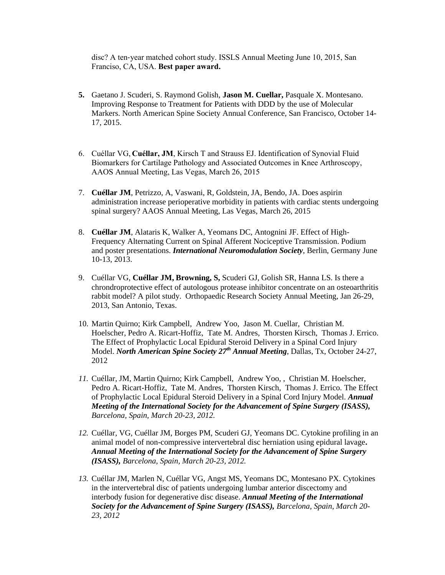disc? A ten‐year matched cohort study. ISSLS Annual Meeting June 10, 2015, San Franciso, CA, USA. **Best paper award.**

- **5.** Gaetano J. Scuderi, S. Raymond Golish, **Jason M. Cuellar,** Pasquale X. Montesano. Improving Response to Treatment for Patients with DDD by the use of Molecular Markers. North American Spine Society Annual Conference, San Francisco, October 14- 17, 2015.
- 6. Cuéllar VG, **Cuéllar, JM**, Kirsch T and Strauss EJ. Identification of Synovial Fluid Biomarkers for Cartilage Pathology and Associated Outcomes in Knee Arthroscopy, AAOS Annual Meeting, Las Vegas, March 26, 2015
- 7. **Cuéllar JM**, Petrizzo, A, Vaswani, R, Goldstein, JA, Bendo, JA. Does aspirin administration increase perioperative morbidity in patients with cardiac stents undergoing spinal surgery? AAOS Annual Meeting, Las Vegas, March 26, 2015
- 8. **Cuéllar JM**, Alataris K, Walker A, Yeomans DC, Antognini JF. Effect of High-Frequency Alternating Current on Spinal Afferent Nociceptive Transmission. Podium and poster presentations. *International Neuromodulation Society*, Berlin, Germany June 10-13, 2013.
- 9. Cuéllar VG, **Cuéllar JM, Browning, S,** Scuderi GJ, Golish SR, Hanna LS. Is there a chrondroprotective effect of autologous protease inhibitor concentrate on an osteoarthritis rabbit model? A pilot study. Orthopaedic Research Society Annual Meeting, Jan 26-29, 2013, San Antonio, Texas.
- 10. Martin Quirno; Kirk Campbell, Andrew Yoo, Jason M. Cuellar, Christian M. Hoelscher, Pedro A. Ricart-Hoffiz, Tate M. Andres, Thorsten Kirsch, Thomas J. Errico. The Effect of Prophylactic Local Epidural Steroid Delivery in a Spinal Cord Injury Model. *North American Spine Society 27th Annual Meeting*, Dallas, Tx, October 24-27, 2012
- *11.* Cuéllar, JM, Martin Quirno; Kirk Campbell, Andrew Yoo, , Christian M. Hoelscher, Pedro A. Ricart-Hoffiz, Tate M. Andres, Thorsten Kirsch, Thomas J. Errico. The Effect of Prophylactic Local Epidural Steroid Delivery in a Spinal Cord Injury Model. *Annual Meeting of the International Society for the Advancement of Spine Surgery (ISASS), Barcelona, Spain, March 20-23, 2012.*
- *12.* Cuéllar, VG, Cuéllar JM, Borges PM, Scuderi GJ, Yeomans DC. Cytokine profiling in an animal model of non-compressive intervertebral disc herniation using epidural lavage**.** *Annual Meeting of the International Society for the Advancement of Spine Surgery (ISASS), Barcelona, Spain, March 20-23, 2012.*
- *13.* Cuéllar JM, Marlen N, Cuéllar VG, Angst MS, Yeomans DC, Montesano PX. Cytokines in the intervertebral disc of patients undergoing lumbar anterior discectomy and interbody fusion for degenerative disc disease. *Annual Meeting of the International Society for the Advancement of Spine Surgery (ISASS), Barcelona, Spain, March 20- 23, 2012*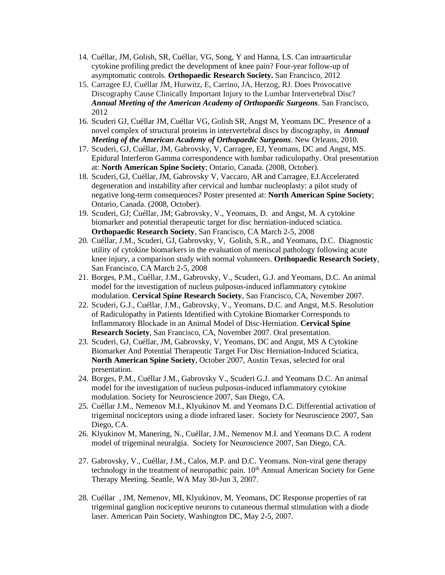- 14. Cuéllar, JM, Golish, SR, Cuéllar, VG, Song, Y and Hanna, LS. Can intraarticular cytokine profiling predict the development of knee pain? Four-year follow-up of asymptomatic controls. **Orthopaedic Research Society.** San Francisco, 2012
- 15. Carragee EJ, Cuéllar JM, Hurwitz, E, Carrino, JA, Herzog, RJ. Does Provocative Discography Cause Clinically Important Injury to the Lumbar Intervertebral Disc? *Annual Meeting of the American Academy of Orthopaedic Surgeons*. San Francisco, 2012
- 16. Scuderi GJ, Cuéllar JM, Cuéllar VG, Golish SR, Angst M, Yeomans DC. Presence of a novel complex of structural proteins in intervertebral discs by discography, in *Annual Meeting of the American Academy of Orthopaedic Surgeons*. New Orleans, 2010.
- 17. Scuderi, GJ, Cuéllar, JM, Gabrovsky, V, Carragee, EJ, Yeomans, DC and Angst, MS. Epidural Interferon Gamma correspondence with lumbar radiculopathy. Oral presentation at: **North American Spine Society**; Ontario, Canada. (2008, October).
- 18. Scuderi, GJ, Cuéllar,JM, Gabrovsky, V, Vaccaro, AR and Carragee, EJ.Accelerated degeneration and instability after cervical and lumbar nucleoplasty: a pilot study of negative long-term consequences? Poster presented at: **North American Spine Society**; Ontario, Canada. (2008, October).
- 19. Scuderi, GJ; Cuéllar, JM; Gabrovsky, V., Yeomans, D. and Angst, M. A cytokine biomarker and potential therapeutic target for disc herniation-induced sciatica. **Orthopaedic Research Society**, San Francisco, CA March 2-5, 2008
- 20. Cuéllar, J.M., Scuderi, GJ, Gabrovsky, V, Golish, S.R., and Yeomans, D.C. Diagnostic utility of cytokine biomarkers in the evaluation of meniscal pathology following acute knee injury, a comparison study with normal volunteers. **Orthopaedic Research Society**, San Francisco, CA March 2-5, 2008
- 21. Borges, P.M., Cuéllar, J.M., Gabrovsky, V., Scuderi, G.J. and Yeomans, D.C. An animal model for the investigation of nucleus pulposus-induced inflammatory cytokine modulation. **Cervical Spine Research Society**, San Francisco, CA, November 2007.
- 22. Scuderi, G.J., Cuéllar, J.M., Gabrovsky, V., Yeomans, D.C. and Angst, M.S. Resolution of Radiculopathy in Patients Identified with Cytokine Biomarker Corresponds to Inflammatory Blockade in an Animal Model of Disc-Herniation. **Cervical Spine Research Society**, San Francisco, CA, November 2007. Oral presentation.
- 23. Scuderi, GJ, Cuéllar, JM, Gabrovsky, V, Yeomans, DC and Angst, MS A Cytokine Biomarker And Potential Therapeutic Target For Disc Herniation-Induced Sciatica, **North American Spine Society**, October 2007, Austin Texas, selected for oral presentation.
- 24. Borges, P.M., Cuéllar J.M., Gabrovsky V., Scuderi G.J. and Yeomans D.C. An animal model for the investigation of nucleus pulposus-induced inflammatory cytokine modulation. Society for Neuroscience 2007, San Diego, CA.
- 25. Cuéllar J.M., Nemenov M.I., Klyukinov M. and Yeomans D.C. Differential activation of trigeminal nociceptors using a diode infrared laser. Society for Neuroscience 2007, San Diego, CA.
- 26. Klyukinov M, Manering, N., Cuéllar, J.M., Nemenov M.I. and Yeomans D.C. A rodent model of trigeminal neuralgia. Society for Neuroscience 2007, San Diego, CA.
- 27. Gabrovsky, V., Cuéllar, J.M., Calos, M.P. and D.C. Yeomans. Non-viral gene therapy technology in the treatment of neuropathic pain. 10<sup>th</sup> Annual American Society for Gene Therapy Meeting. Seattle, WA May 30-Jun 3, 2007.
- 28. Cuéllar , JM, Nemenov, MI, Klyukinov, M, Yeomans, DC Response properties of rat trigeminal ganglion nociceptive neurons to cutaneous thermal stimulation with a diode laser. American Pain Society, Washington DC, May 2-5, 2007.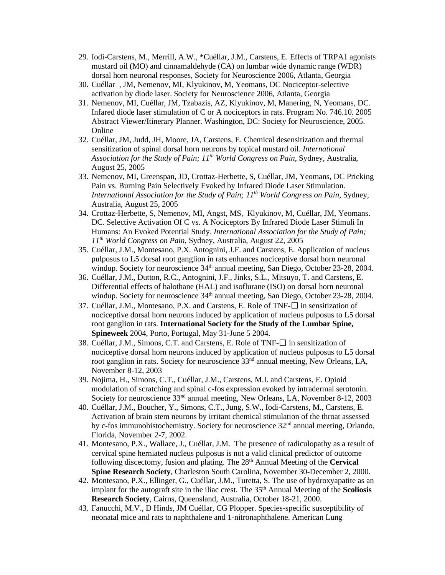- 29. Iodi-Carstens, M., Merrill, A.W., \*Cuéllar, J.M., Carstens, E. Effects of TRPA1 agonists mustard oil (MO) and cinnamaldehyde (CA) on lumbar wide dynamic range (WDR) dorsal horn neuronal responses, Society for Neuroscience 2006, Atlanta, Georgia
- 30. Cuéllar , JM, Nemenov, MI, Klyukinov, M, Yeomans, DC Nociceptor-selective activation by diode laser. Society for Neuroscience 2006, Atlanta, Georgia
- 31. Nemenov, MI, Cuéllar, JM, Tzabazis, AZ, Klyukinov, M, Manering, N, Yeomans, DC. Infared diode laser stimulation of C or A nociceptors in rats. Program No. 746.10. 2005 Abstract Viewer/Itinerary Planner. Washington, DC: Society for Neuroscience, 2005. Online
- 32. Cuéllar, JM, Judd, JH, Moore, JA, Carstens, E. Chemical desensitization and thermal sensitization of spinal dorsal horn neurons by topical mustard oil. *International Association for the Study of Pain; 11th World Congress on Pain*, Sydney, Australia, August 25, 2005
- 33. Nemenov, MI, Greenspan, JD, Crottaz-Herbette, S, Cuéllar, JM, Yeomans, DC Pricking Pain vs. Burning Pain Selectively Evoked by Infrared Diode Laser Stimulation. *International Association for the Study of Pain; 11th World Congress on Pain*, Sydney, Australia, August 25, 2005
- 34. Crottaz-Herbette, S, Nemenov, MI, Angst, MS, Klyukinov, M, Cuéllar, JM, Yeomans. DC. Selective Activation Of C vs. A Nociceptors By Infrared Diode Laser Stimuli In Humans: An Evoked Potential Study. *International Association for the Study of Pain; 11th World Congress on Pain*, Sydney, Australia, August 22, 2005
- 35. Cuéllar, J.M., Montesano, P.X. Antognini, J.F. and Carstens, E. Application of nucleus pulposus to L5 dorsal root ganglion in rats enhances nociceptive dorsal horn neuronal windup. Society for neuroscience 34<sup>th</sup> annual meeting, San Diego, October 23-28, 2004.
- 36. Cuéllar, J.M., Dutton, R.C., Antognini, J.F., Jinks, S.L., Mitsuyo, T. and Carstens, E. Differential effects of halothane (HAL) and isoflurane (ISO) on dorsal horn neuronal windup. Society for neuroscience 34<sup>th</sup> annual meeting, San Diego, October 23-28, 2004.
- 37. Cuéllar, J.M., Montesano, P.X. and Carstens, E. Role of TNF- $\square$  in sensitization of nociceptive dorsal horn neurons induced by application of nucleus pulposus to L5 dorsal root ganglion in rats. **International Society for the Study of the Lumbar Spine, Spineweek** 2004, Porto, Portugal, May 31-June 5 2004.
- 38. Cuéllar, J.M., Simons, C.T. and Carstens, E. Role of TNF- $\square$  in sensitization of nociceptive dorsal horn neurons induced by application of nucleus pulposus to L5 dorsal root ganglion in rats. Society for neuroscience 33<sup>nd</sup> annual meeting, New Orleans, LA, November 8-12, 2003
- 39. Nojima, H., Simons, C.T., Cuéllar, J.M., Carstens, M.I. and Carstens, E. Opioid modulation of scratching and spinal c-fos expression evoked by intradermal serotonin. Society for neuroscience 33<sup>nd</sup> annual meeting, New Orleans, LA, November 8-12, 2003
- 40. Cuéllar, J.M., Boucher, Y., Simons, C.T., Jung, S.W., Iodi-Carstens, M., Carstens, E. Activation of brain stem neurons by irritant chemical stimulation of the throat assessed by c-fos immunohistochemistry. Society for neuroscience 32<sup>nd</sup> annual meeting, Orlando, Florida, November 2-7, 2002.
- 41. Montesano, P.X., Wallace, J., Cuéllar, J.M. The presence of radiculopathy as a result of cervical spine herniated nucleus pulposus is not a valid clinical predictor of outcome following discectomy, fusion and plating. The 28<sup>th</sup> Annual Meeting of the **Cervical Spine Research Society**, Charleston South Carolina, November 30-December 2, 2000.
- 42. Montesano, P.X., Ellinger, G., Cuéllar, J.M., Turetta, S. The use of hydroxyapatite as an implant for the autograft site in the iliac crest. The 35<sup>th</sup> Annual Meeting of the **Scoliosis Research Society**, Cairns, Queensland, Australia, October 18-21, 2000.
- 43. Fanucchi, M.V., D Hinds, JM Cuéllar, CG Plopper. Species-specific susceptibility of neonatal mice and rats to naphthalene and 1-nitronaphthalene. American Lung